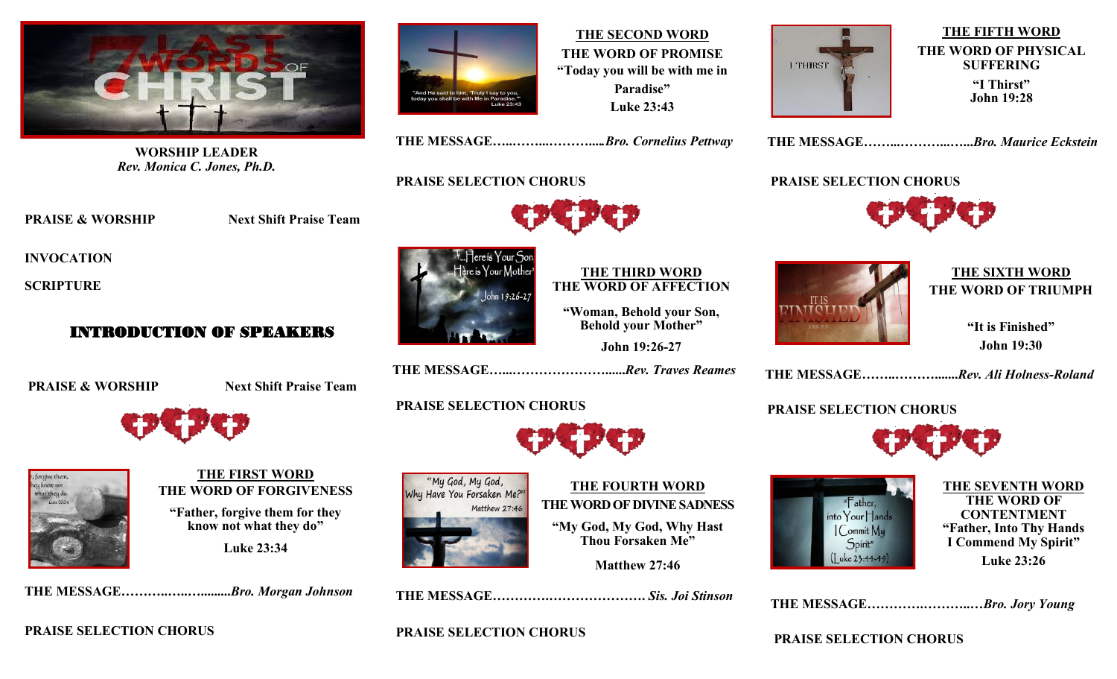

**WORSHIP LEADER**  *Rev. Monica C. Jones, Ph.D.*

**PRAISE & WORSHIP Next Shift Praise Team** 

 **INVOCATION** 

 **SCRIPTURE**

## INTRODUCTION OF SPEAKERS

**PRAISE & WORSHIP Next Shift Praise Team** 





**THE FIRST WORD THE WORD OF FORGIVENESS "Father, forgive them for they know not what they do" Luke 23:34**

 **THE MESSAGE………..…..….........***Bro. Morgan Johnson*

 **PRAISE SELECTION CHORUS**



**THE SECOND WORD THE WORD OF PROMISE "Today you will be with me in Paradise" Luke 23:43**

**I THIRST** 

**THE FIFTH WORD THE WORD OF PHYSICAL SUFFERING "I Thirst" John 19:28**

 **THE MESSAGE……...………...…...***Bro. Maurice Eckstein* 

 **PRAISE SELECTION CHORUS**



# **THE SIXTH WORD THE WORD OF TRIUMPH**

 **"It is Finished" John 19:30**

 **THE MESSAGE……..……….......***Rev. Ali Holness-Roland*

### **PRAISE SELECTION CHORUS**



**THE SEVENTH WORD THE WORD OF CONTENTMENT "Father, Into Thy Hands I Commend My Spirit<sup>\*</sup> Luke 23:26**

 **THE MESSAGE………….………..…***Bro. Jory Young*

 **PRAISE SELECTION CHORUS**

### **PRAISE SELECTION CHORUS**



 **PRAISE SELECTION CHORUS** 

#### **THE THIRD WORD THE WORD OF AFFECTION**

**"Woman, Behold your Son, Behold your Mother"**

**John 19:26-27**

 **THE MESSAGE…...…………………......***Rev. Traves Reames*

 **THE MESSAGE…..……...………....***.Bro. Cornelius Pettway*

# **PRAISE SELECTION CHORUS**





# **THE FOURTH WORD THE WORD OF DIVINE SADNESS**

**"My God, My God, Why Hast Thou Forsaken Me"**

**Matthew 27:46**

 **THE MESSAGE………….………………….** *Sis. Joi Stinson*